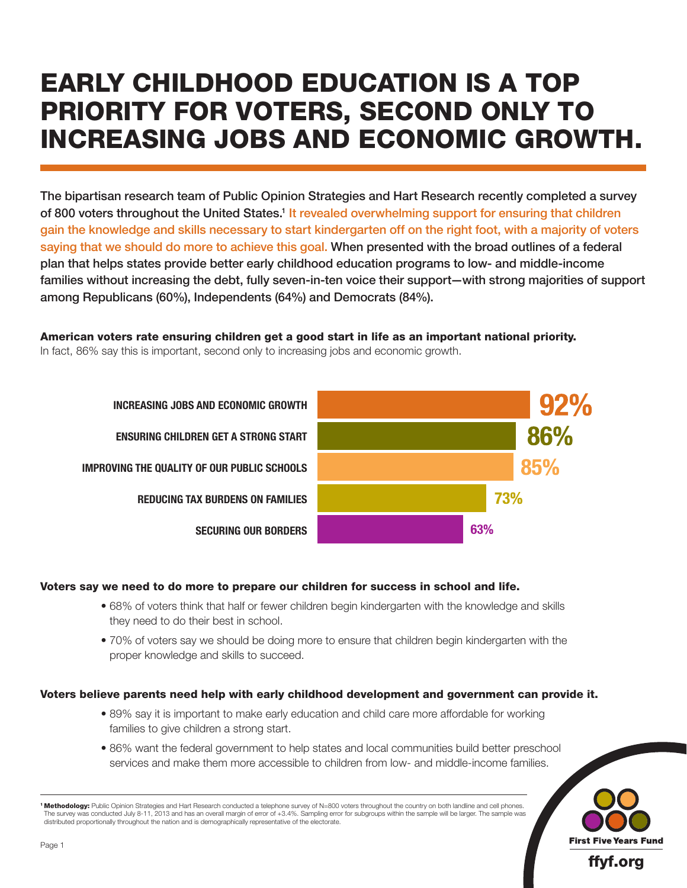# EARLY CHILDHOOD EDUCATION IS A TOP PRIORITY FOR VOTERS, SECOND ONLY TO INCREASING JOBS AND ECONOMIC GROWTH.

The bipartisan research team of Public Opinion Strategies and Hart Research recently completed a survey of 800 voters throughout the United States.<sup>1</sup> It revealed overwhelming support for ensuring that children gain the knowledge and skills necessary to start kindergarten off on the right foot, with a majority of voters saying that we should do more to achieve this goal. When presented with the broad outlines of a federal plan that helps states provide better early childhood education programs to low- and middle-income families without increasing the debt, fully seven-in-ten voice their support—with strong majorities of support among Republicans (60%), Independents (64%) and Democrats (84%).

American voters rate ensuring children get a good start in life as an important national priority. In fact, 86% say this is important, second only to increasing jobs and economic growth.



## Voters say we need to do more to prepare our children for success in school and life.

- 68% of voters think that half or fewer children begin kindergarten with the knowledge and skills they need to do their best in school.
- 70% of voters say we should be doing more to ensure that children begin kindergarten with the proper knowledge and skills to succeed.

## Voters believe parents need help with early childhood development and government can provide it.

- 89% say it is important to make early education and child care more affordable for working families to give children a strong start.
- 86% want the federal government to help states and local communities build better preschool services and make them more accessible to children from low- and middle-income families.



<sup>1</sup> Methodology: Public Opinion Strategies and Hart Research conducted a telephone survey of N=800 voters throughout the country on both landline and cell phones. The survey was conducted July 8-11, 2013 and has an overall margin of error of +3.4%. Sampling error for subgroups within the sample will be larger. The sample was distributed proportionally throughout the nation and is demographically representative of the electorate.